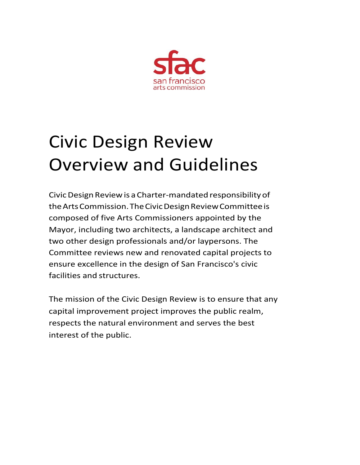

# Civic Design Review Overview and Guidelines

CivicDesignReviewis a Charter-mandated responsibility of the Arts Commission. The Civic Design Review Committee is composed of five Arts Commissioners appointed by the Mayor, including two architects, a landscape architect and two other design professionals and/or laypersons. The Committee reviews new and renovated capital projects to ensure excellence in the design of San Francisco's civic facilities and structures.

The mission of the Civic Design Review is to ensure that any capital improvement project improves the public realm, respects the natural environment and serves the best interest of the public.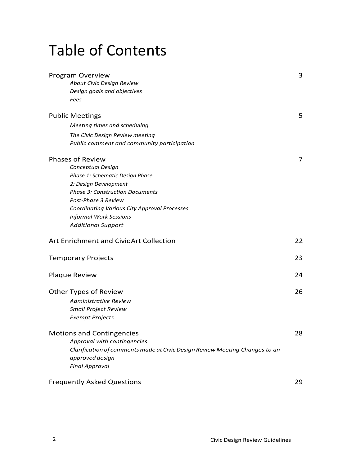### Table of Contents

| Program Overview                                                            | 3  |
|-----------------------------------------------------------------------------|----|
| About Civic Design Review                                                   |    |
| Design goals and objectives                                                 |    |
| Fees                                                                        |    |
| <b>Public Meetings</b>                                                      | 5  |
| Meeting times and scheduling                                                |    |
| The Civic Design Review meeting                                             |    |
| Public comment and community participation                                  |    |
| <b>Phases of Review</b>                                                     | 7  |
| Conceptual Design                                                           |    |
| Phase 1: Schematic Design Phase                                             |    |
| 2: Design Development                                                       |    |
| <b>Phase 3: Construction Documents</b>                                      |    |
| Post-Phase 3 Review                                                         |    |
| <b>Coordinating Various City Approval Processes</b>                         |    |
| <b>Informal Work Sessions</b>                                               |    |
| <b>Additional Support</b>                                                   |    |
| Art Enrichment and Civic Art Collection                                     | 22 |
| <b>Temporary Projects</b>                                                   | 23 |
| Plaque Review                                                               | 24 |
| Other Types of Review                                                       | 26 |
| Administrative Review                                                       |    |
| <b>Small Project Review</b>                                                 |    |
| <b>Exempt Projects</b>                                                      |    |
| <b>Motions and Contingencies</b>                                            | 28 |
| Approval with contingencies                                                 |    |
| Clarification of comments made at Civic Design Review Meeting Changes to an |    |
| approved design                                                             |    |
| <b>Final Approval</b>                                                       |    |
| <b>Frequently Asked Questions</b>                                           | 29 |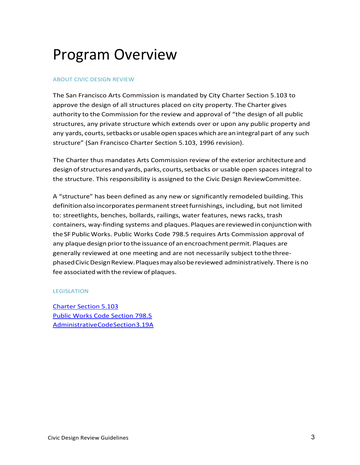### Program Overview

#### ABOUT CIVIC DESIGN REVIEW

The San Francisco Arts Commission is mandated by City Charter Section 5.103 to approve the design of all structures placed on city property. The Charter gives authority to the Commission for the review and approval of "the design of all public structures, any private structure which extends over or upon any public property and any yards, courts, setbacks or usable open spaces which are an integral part of any such structure" (San Francisco Charter Section 5.103, 1996 revision).

The Charter thus mandates Arts Commission review of the exterior architectureand designofstructuresandyards,parks, courts,setbacks or usable open spaces integral to the structure. This responsibility is assigned to the Civic Design ReviewCommittee.

A "structure" has been defined as any new or significantly remodeled building. This definition also incorporates permanent street furnishings, including, but not limited to: streetlights, benches, bollards, railings, water features, news racks, trash containers, way-finding systems and plaques.Plaques are reviewedinconjunctionwith the SFPublicWorks. Public Works Code 798.5 requires Arts Commission approval of any plaque design prior to the issuance of an encroachment permit. Plaques are generally reviewed at one meeting and are not necessarily subject tothethreephasedCivicDesignReview.Plaquesmayalsobereviewed administratively. There is no fee associated with the review of plaques.

#### LEGISLATION

[Charter Section 5.103](https://www.sfartscommission.org/sites/default/files/documents/Arts_Commission_legal_authorities.pdf) [Public Works Code Section 798.5](https://sfgov.org/arts/sites/default/files/Public%20Works%20Code%20Section%20798.5.pdf)  [AdministrativeCodeSection3.19A](https://www.sfartscommission.org/sites/default/files/documents/Arts_Commission_legal_authorities.pdf)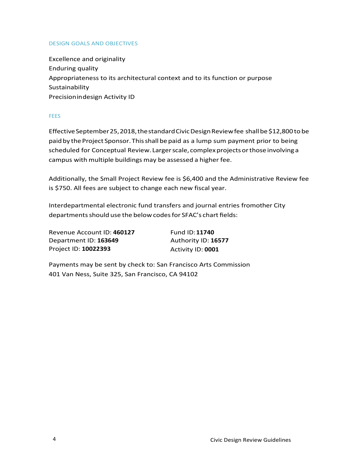#### DESIGN GOALS AND OBJECTIVES

Excellence and originality Enduring quality Appropriateness to its architectural context and to its function or purpose Sustainability Precisionindesign Activity ID

#### **FEES**

Effective September 25, 2018, the standard Civic Design Review fee shall be \$12,800 to be paid by the Project Sponsor. This shall be paid as a lump sum payment prior to being scheduled for Conceptual Review. Larger scale, complex projects or those involving a campus with multiple buildings may be assessed a higher fee.

Additionally, the Small Project Review fee is \$6,400 and the Administrative Review fee is \$750. All fees are subject to change each new fiscal year.

Interdepartmental electronic fund transfers and journal entries fromother City departments should use the below codes for SFAC's chart fields:

Revenue Account ID: **460127** Fund ID: **11740** Department ID: **163649** Authority ID: **16577** Project ID: **10022393** Activity ID: **0001**

Payments may be sent by check to: San Francisco Arts Commission 401 Van Ness, Suite 325, San Francisco, CA 94102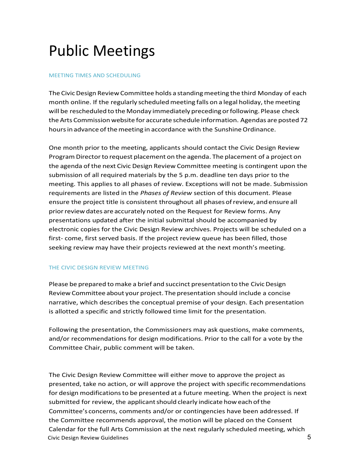### Public Meetings

#### MEETING TIMES AND SCHEDULING

The Civic Design Review Committee holds a standing meeting the third Monday of each month online. If the regularly scheduled meeting falls on a legal holiday, the meeting will be rescheduled to the Monday immediately preceding or following. Please check the Arts Commissionwebsite for accurate schedule information. Agendas are posted 72 hours in advance of the meeting in accordance with the Sunshine Ordinance.

One month prior to the meeting, applicants should contact the Civic Design Review Program Director to request placement on the agenda. The placement of a project on the agenda of the next Civic Design Review Committee meeting is contingent upon the submission of all required materials by the 5 p.m. deadline ten days prior to the meeting. This applies to all phases of review. Exceptions will not be made. Submission requirements are listed in the *Phases of Review* section of this document. Please ensure the project title is consistent throughout all phasesofreview, andensure all prior review dates are accurately noted on the Request for Review forms. Any presentations updated after the initial submittal should be accompanied by electronic copies for the Civic Design Review archives. Projects will be scheduled on a first- come, first served basis. If the project review queue has been filled, those seeking review may have their projects reviewed at the next month's meeting.

#### THE CIVIC DESIGN REVIEW MEETING

Please be prepared to make a brief and succinct presentation to the Civic Design Review Committee about your project. The presentation should include a concise narrative, which describes the conceptual premise of your design. Each presentation is allotted a specific and strictly followed time limit for the presentation.

Following the presentation, the Commissioners may ask questions, make comments, and/or recommendations for design modifications. Prior to the call for a vote by the Committee Chair, public comment will be taken.

Civic Design Review Guidelines 5 The Civic Design Review Committee will either move to approve the project as presented, take no action, or will approve the project with specific recommendations for design modificationsto be presented at a future meeting. When the project is next submitted for review, the applicant should clearly indicate how each of the Committee's concerns, comments and/or or contingencies have been addressed. If the Committee recommends approval, the motion will be placed on the Consent Calendar for the full Arts Commission at the next regularly scheduled meeting, which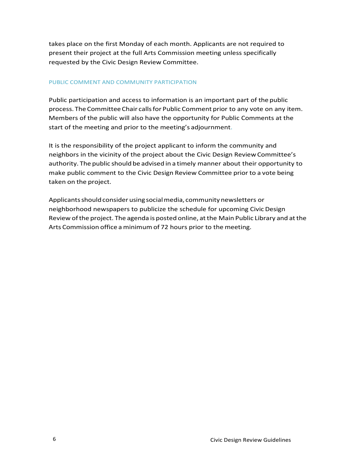takes place on the first Monday of each month. Applicants are not required to present their project at the full Arts Commission meeting unless specifically requested by the Civic Design Review Committee.

#### PUBLIC COMMENT AND COMMUNITY PARTICIPATION

Public participation and access to information is an important part of the public process. The Committee Chair calls for Public Comment prior to any vote on any item. Members of the public will also have the opportunity for Public Comments at the start of the meeting and prior to the meeting's adjournment.

It is the responsibility of the project applicant to inform the community and neighbors in the vicinity of the project about the Civic Design Review Committee's authority. The public should be advised in a timely manner about their opportunity to make public comment to the Civic Design Review Committee prior to a vote being taken on the project.

Applicants should consider using social media, community newsletters or neighborhood newspapers to publicize the schedule for upcoming CivicDesign Review ofthe project. The agenda is posted online, atthe Main Public Library and atthe Arts Commission office aminimumof 72 hours prior to the meeting.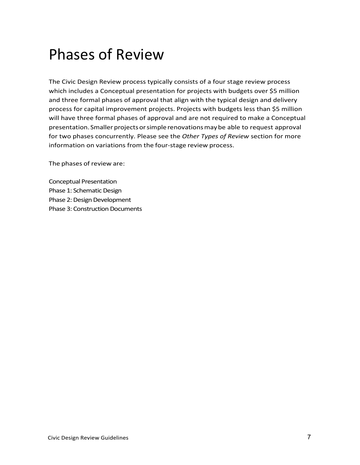### Phases of Review

The Civic Design Review process typically consists of a four stage review process which includes a Conceptual presentation for projects with budgets over \$5 million and three formal phases of approval that align with the typical design and delivery process for capital improvement projects. Projects with budgets less than \$5 million will have three formal phases of approval and are not required to make a Conceptual presentation. Smaller projects or simple renovations may be able to request approval for two phases concurrently. Please see the *Other Types of Review* section for more information on variations from the four-stage review process.

The phases of review are:

Conceptual Presentation Phase 1: Schematic Design Phase 2: Design Development Phase 3: Construction Documents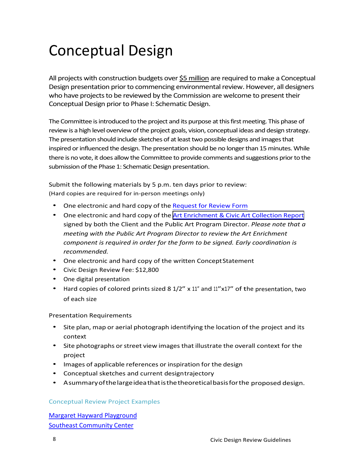### Conceptual Design

All projects with construction budgets over \$5 million are required to make a Conceptual Design presentation prior to commencing environmental review. However, all designers who have projects to be reviewed by the Commission are welcome to present their Conceptual Design prior to Phase I: Schematic Design.

The Committee is introduced to the project and its purpose at this first meeting. This phase of review is a high level overview of the project goals, vision, conceptual ideas and design strategy. The presentation should include sketches of at least two possible designs and images that inspired or influenced the design. The presentation should be no longer than 15 minutes. While there is no vote, it does allowthe Committee to provide comments and suggestions prior to the submission of the Phase 1: Schematic Design presentation.

Submit the following materials by 5 p.m. ten days prior to review: (Hard copies are required for in-person meetings only)

- One electronic and hard copy of the [Request](https://www.sfartscommission.org/sites/default/files/Request%20for%20Review%20Form_April%202021.pdf) for Review Form
- One electronic and hard copy of the Art [Enrichment](https://www.sfartscommission.org/sites/default/files/Art%20Enrichment%20%26%20CAC%20Report_December%202021_FINAL.pdf) & Civic Art Collection Report signed by both the Client and the Public Art Program Director. *Please note that a meeting with the Public Art Program Director to review the Art Enrichment component is required in order for the form to be signed. Early coordination is recommended.*
- One electronic and hard copy of the written ConceptStatement
- Civic Design Review Fee: \$12,800
- One digital presentation
- Hard copies of colored prints sized 8 1/2" x 11" and 11"x17" of the presentation, two of each size

Presentation Requirements

- Site plan, map or aerial photograph identifying the location of the project and its context
- Site photographs or street view images that illustrate the overall context for the project
- Images of applicable references or inspiration for the design
- Conceptual sketches and current designtrajectory
- A summaryofthelargeideathatisthetheoreticalbasisforthe proposed design.

#### Conceptual Review Project Examples

[Margaret Hayward Playground](https://sfgov.org/arts/sites/default/files/Margaret%20Hayward%20Playground_Presentation_062016.pdf) [Southeast Community](https://sfgov.org/arts/sites/default/files/1550%20Evans_Presentation_101617.pdf) Center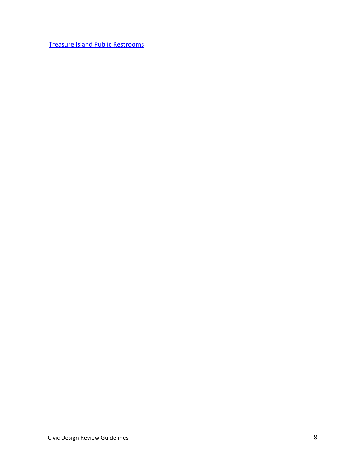[Treasure Island Public Restrooms](https://sfgov.org/arts/sites/default/files/020816_Treasure_Island_Public_Restroom_presentation.pdf)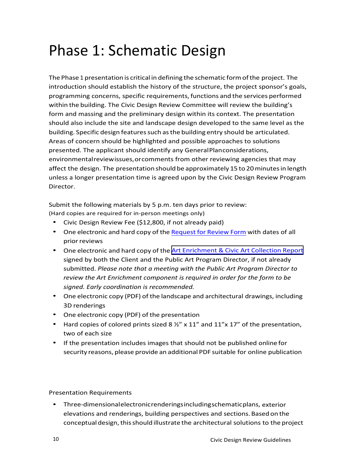### Phase 1: Schematic Design

The Phase 1 presentation is critical in defining the schematic formofthe project. The introduction should establish the history of the structure, the project sponsor's goals, programming concerns, specific requirements, functions and the services performed within the building. The Civic Design Review Committee will review the building's form and massing and the preliminary design within its context. The presentation should also include the site and landscape design developed to the same level as the building. Specific design features such as the building entry should be articulated. Areas of concern should be highlighted and possible approaches to solutions presented. The applicant should identify any GeneralPlanconsiderations, environmentalreviewissues,orcomments from other reviewing agencies that may affect the design. The presentation should be approximately 15 to 20 minutes in length unless a longer presentation time is agreed upon by the Civic Design Review Program Director.

Submit the following materials by 5 p.m. ten days prior to review: (Hard copies are required for in-person meetings only)

- Civic Design Review Fee (\$12,800, if not already paid)
- One electronic and hard copy of the [Request](https://www.sfartscommission.org/sites/default/files/Request%20for%20Review%20Form_April%202021.pdf) for Review Form with dates of all prior reviews
- One electronic and hard copy of the Art [Enrichment](https://www.sfartscommission.org/sites/default/files/Art%20Enrichment%20%26%20CAC%20Report_December%202021_FINAL.pdf) & Civic Art Collection Report signed by both the Client and the Public Art Program Director, if not already submitted. *Please note that a meeting with the Public Art Program Director to review the Art Enrichment component is required in order for the form to be signed. Early coordination is recommended.*
- One electronic copy (PDF) of the landscape and architectural drawings, including 3D renderings
- One electronic copy (PDF) of the presentation
- Hard copies of colored prints sized 8  $\frac{1}{2}$  x 11" and 11"x 17" of the presentation, two of each size
- If the presentation includes images that should not be published online for security reasons, please provide an additional PDF suitable for online publication

Presentation Requirements

• Three-dimensionalelectronicrenderingsincludingschematicplans, exterior elevations and renderings, building perspectives and sections.Basedon the conceptual design, this should illustrate the architectural solutions to the project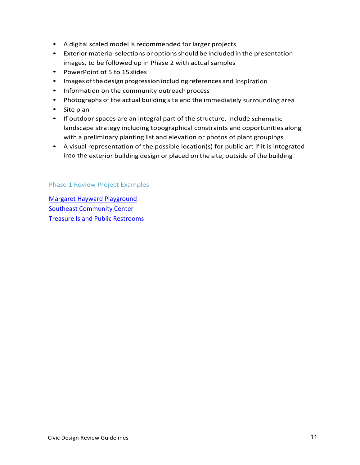- A digital scaled model is recommended for larger projects
- Exterior material selections or options should be included in the presentation images, to be followed up in Phase 2 with actual samples
- PowerPoint of 5 to 15slides
- Images of the design progression including references and inspiration
- Information on the community outreach process
- Photographs of the actual building site and the immediately surrounding area
- Site plan
- If outdoor spaces are an integral part of the structure, include schematic landscape strategy including topographical constraints and opportunities along with a preliminary planting list and elevation or photos of plant groupings
- A visual representation of the possible location(s) for public art if it is integrated into the exterior building design or placed on the site, outside of the building

#### Phase 1 Review Project Examples

[Margaret Hayward Playground](https://sfgov.org/arts/sites/default/files/Margaert%20Hayward_Presentation_071717.pdf)  [Southeast Community Center](https://sfgov.org/arts/sites/default/files/1550%20Evans_Presentation_021218.pdf)  [Treasure Island Public Restrooms](https://sfgov.org/arts/sites/default/files/TI%20Public%20Restroom_Presentation%20Phase%201_062016_1.pdf)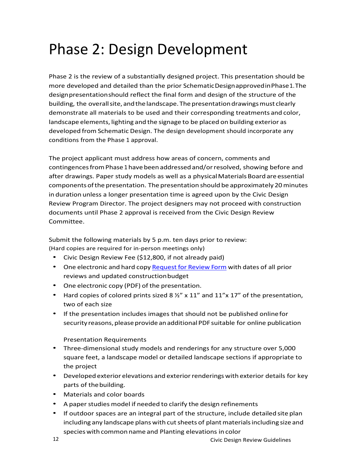### Phase 2: Design Development

Phase 2 is the review of a substantially designed project. This presentation should be more developed and detailed than the prior SchematicDesignapprovedinPhase1.The designpresentationshould reflect the final form and design of the structure of the building, the overall site, and the landscape. The presentation drawings must clearly demonstrate all materials to be used and their corresponding treatments and color, landscape elements, lighting and the signage to be placed on building exterior as developed from Schematic Design. The design development should incorporate any conditions from the Phase 1 approval.

The project applicant must address how areas of concern, comments and contingencesfromPhase 1 havebeenaddressedand/orresolved, showing before and after drawings. Paper study models as well as a physical Materials Board are essential componentsofthe presentation. The presentation should be approximately 20minutes in duration unless a longer presentation time is agreed upon by the Civic Design Review Program Director. The project designers may not proceed with construction documents until Phase 2 approval is received from the Civic Design Review Committee.

Submit the following materials by 5 p.m. ten days prior to review: (Hard copies are required for in-person meetings only)

- Civic Design Review Fee (\$12,800, if not already paid)
- One electronic and hard copy Request for [Review Form](https://www.sfartscommission.org/sites/default/files/Request%20for%20Review%20Form_April%202021.pdf) with dates of all prior reviews and updated constructionbudget
- One electronic copy (PDF) of the presentation.
- Hard copies of colored prints sized 8  $\frac{1}{2}$  x 11" and 11"x 17" of the presentation, two of each size
- If the presentation includes images that should not be published onlinefor security reasons, please provide an additional PDF suitable for online publication

Presentation Requirements

- Three-dimensional study models and renderings for any structure over 5,000 square feet, a landscape model or detailed landscape sections if appropriate to the project
- Developed exterior elevations and exterior renderings with exterior details for key parts of thebuilding.
- Materials and color boards
- A paper studies model if needed to clarify the design refinements
- If outdoor spaces are an integral part of the structure, include detailed site plan including any landscape plans with cut sheets of plant materials including size and species with common name and Planting elevations in color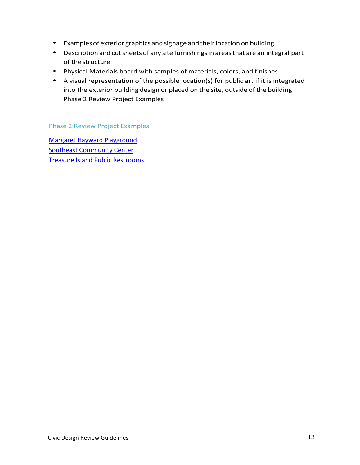- Examples of exterior graphics and signage and their location on building
- Description and cut sheets of any site furnishings in areas that are an integral part of the structure
- Physical Materials board with samples of materials, colors, and finishes
- A visual representation of the possible location(s) for public art if it is integrated into the exterior building design or placed on the site, outside of the building Phase 2 Review Project Examples

Phase 2 Review Project Examples

[Margaret Hayward Playground](https://sfgov.org/arts/sites/default/files/Margaert%20Hayward_Presentation_112717.pdf) **[Southeast Community Center](https://sfgov.org/arts/sites/default/files/1550%20Evans_Presentation%20P2_101518.pdf)** [Treasure Island Public Restrooms](https://sfgov.org/arts/sites/default/files/TI%20Public%20Restroom%20Phase%202_Presentation_101716.pdf)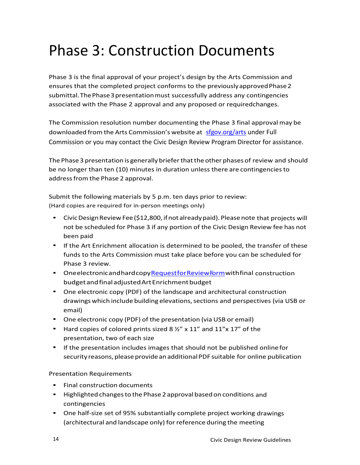### Phase 3: Construction Documents

Phase 3 is the final approval of your project's design by the Arts Commission and ensures that the completed project conforms to the previously approved Phase 2 submittal. The Phase 3 presentation must successfully address any contingencies associated with the Phase 2 approval and any proposed or requiredchanges.

The Commission resolution number documenting the Phase 3 final approvalmay be downloaded from the Arts Commission's website at [sfgov.org/arts](https://sfgov.org/arts/sites/default/files/SVWTP%20Polymer%20-%20Ph%202%20AE%20Report%20-%20031521.pdf) under Full Commission or you may contact the Civic Design Review Program Director for assistance.

The Phase 3 presentation is generally brieferthatthe other phases of review and should be no longer than ten (10) minutes in duration unless there are contingenciesto addressfrom the Phase 2 approval.

Submit the following materials by 5 p.m. ten days prior to review: (Hard copies are required for in-person meetings only)

- Civic Design Review Fee (\$12,800, if not already paid). Please note that projects will not be scheduled for Phase 3 if any portion of the Civic Design Review fee has not been paid
- If the Art Enrichment allocation is determined to be pooled, the transfer of these funds to the Arts Commission must take place before you can be scheduled for Phase 3 review.
- OneelectronicandhardcopyRequestforReview Form with final construction budgetandfinaladjustedArtEnrichmentbudget
- One electronic copy (PDF) of the landscape and architectural construction drawings which include building elevations,sections and perspectives (via USB or email)
- One electronic copy (PDF) of the presentation (via USB or email)
- Hard copies of colored prints sized 8  $\frac{1}{2}$ " x 11" and 11"x 17" of the presentation, two of each size
- If the presentation includes images that should not be published online for security reasons, please provide an additional PDF suitable for online publication

#### Presentation Requirements

- Final construction documents
- Highlighted changes to the Phase 2 approval based on conditions and contingencies
- One half-size set of 95% substantially complete project working drawings (architectural and landscape only) for reference during the meeting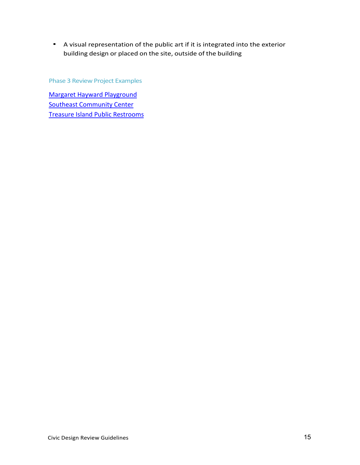• A visual representation of the public art if it is integrated into the exterior building design or placed on the site, outside of the building

Phase 3 Review Project Examples

[Margaret Hayward Playground](https://sfgov.org/arts/sites/default/files/Margaert%20Hayward_Presentation%20P3_052118.pdf) **[Southeast Community Center](https://sfgov.org/arts/sites/default/files/Southeast%20Community%20Center_PresentationComp_111819.pdf)** [Treasure Island Public Restrooms](https://sfgov.org/arts/sites/default/files/TI%20Public%20Restroom_Presentation_061917.pdf)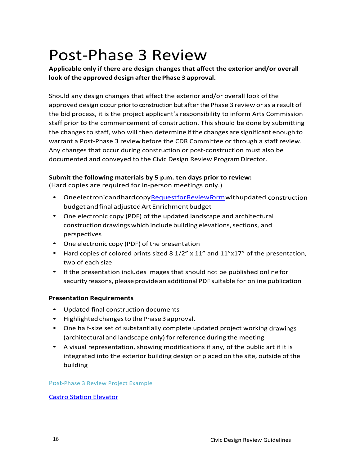### Post-Phase 3 Review

**Applicable only if there are design changes that affect the exterior and/or overall look of the approved design after the Phase 3 approval.** 

Should any design changes that affect the exterior and/or overall look ofthe approved design occur prior to construction but after the Phase 3 review or as a result of the bid process, it is the project applicant's responsibility to inform Arts Commission staff prior to the commencement of construction. This should be done by submitting the changes to staff, who will then determine if the changes are significant enough to warrant a Post-Phase 3 review before the CDR Committee or through a staff review. Any changes that occur during construction or post-construction must also be documented and conveyed to the Civic Design Review Program Director.

#### **Submit the following materials by 5 p.m. ten days prior to review:**

(Hard copies are required for in-person meetings only.)

- OneelectronicandhardcopyRequestforReview Form with updated construction budgetandfinaladjustedArtEnrichmentbudget
- One electronic copy (PDF) of the updated landscape and architectural construction drawings which include building elevations, sections, and perspectives
- One electronic copy (PDF) of the presentation
- Hard copies of colored prints sized 8 1/2" x 11" and 11"x17" of the presentation, two of each size
- If the presentation includes images that should not be published onlinefor security reasons, please provide an additional PDF suitable for online publication

#### **Presentation Requirements**

- Updated final construction documents
- Highlightedchangesto the Phase 3 approval.
- One half-size set of substantially complete updated project working drawings (architectural and landscape only) for reference during the meeting
- A visual representation, showing modifications if any, of the public art if it is integrated into the exterior building design or placed on the site, outside of the building

#### Post-Phase 3 Review Project Example

#### [Castro Station Elevator](https://sfgov.org/arts/sites/default/files/Castro%20Station%20Elevator_revised%20presentation_122120.pdf)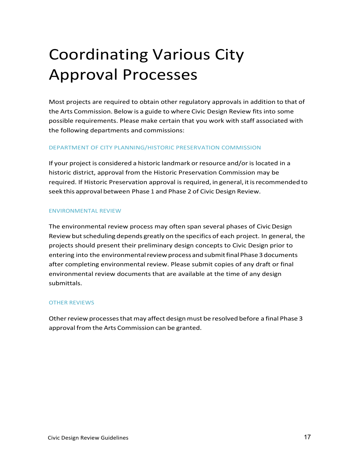# Coordinating Various City Approval Processes

Most projects are required to obtain other regulatory approvals in addition to that of the Arts Commission. Below is a guide to where Civic Design Review fits into some possible requirements. Please make certain that you work with staff associated with the following departments and commissions:

#### DEPARTMENT OF CITY PLANNING/HISTORIC PRESERVATION COMMISSION

If your project is considered a historic landmark or resource and/or is located in a historic district, approval from the Historic Preservation Commission may be required. If Historic Preservation approval is required, in general, it is recommended to seek this approval between Phase 1 and Phase 2 of Civic Design Review.

#### ENVIRONMENTAL REVIEW

The environmental review process may often span several phases of Civic Design Review but scheduling depends greatly on the specifics of each project. In general, the projects should present their preliminary design concepts to Civic Design prior to entering into the environmental review process and submit final Phase 3 documents after completing environmental review. Please submit copies of any draft or final environmental review documents that are available at the time of any design submittals.

#### OTHER REVIEWS

Other review processes that may affect design must be resolved before a final Phase 3 approval from the Arts Commission can be granted.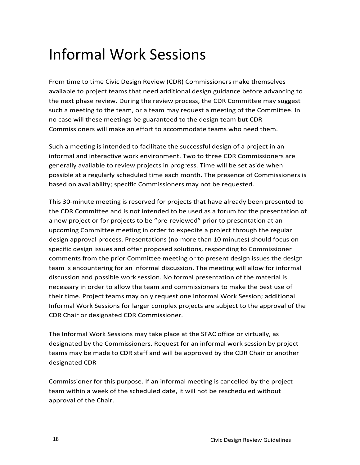### Informal Work Sessions

From time to time Civic Design Review (CDR) Commissioners make themselves available to project teams that need additional design guidance before advancing to the next phase review. During the review process, the CDR Committee may suggest such a meeting to the team, or a team may request a meeting of the Committee. In no case will these meetings be guaranteed to the design team but CDR Commissioners will make an effort to accommodate teams who need them.

Such a meeting is intended to facilitate the successful design of a project in an informal and interactive work environment. Two to three CDR Commissioners are generally available to review projects in progress. Time will be set aside when possible at a regularly scheduled time each month. The presence of Commissioners is based on availability; specific Commissioners may not be requested.

This 30-minute meeting is reserved for projects that have already been presented to the CDR Committee and is not intended to be used as a forum for the presentation of a new project or for projects to be "pre-reviewed" prior to presentation at an upcoming Committee meeting in order to expedite a project through the regular design approval process. Presentations (no more than 10 minutes) should focus on specific design issues and offer proposed solutions, responding to Commissioner comments from the prior Committee meeting or to present design issues the design team is encountering for an informal discussion. The meeting will allow for informal discussion and possible work session. No formal presentation of the material is necessary in order to allow the team and commissioners to make the best use of their time. Project teams may only request one Informal Work Session; additional Informal Work Sessions for larger complex projects are subject to the approval of the CDR Chair or designated CDR Commissioner.

The Informal Work Sessions may take place at the SFAC office or virtually, as designated by the Commissioners. Request for an informal work session by project teams may be made to CDR staff and will be approved by the CDR Chair or another designated CDR

Commissioner for this purpose. If an informal meeting is cancelled by the project team within a week of the scheduled date, it will not be rescheduled without approval of the Chair.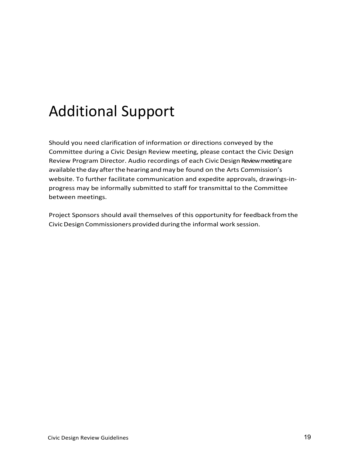### Additional Support

Should you need clarification of information or directions conveyed by the Committee during a Civic Design Review meeting, please contact the Civic Design Review Program Director. Audio recordings of each Civic Design Review meeting are available the day afterthe hearing andmay be found on the Arts Commission's website. To further facilitate communication and expedite approvals, drawings-inprogress may be informally submitted to staff for transmittal to the Committee between meetings.

Project Sponsors should avail themselves of this opportunity for feedback fromthe CivicDesign Commissioners provided during the informal work session.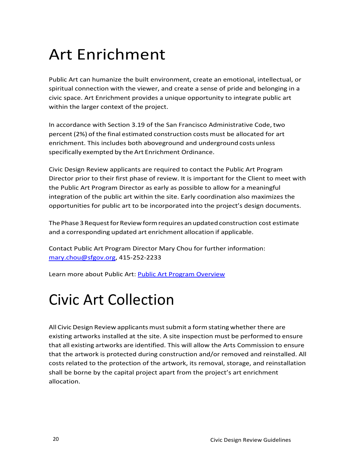# Art Enrichment

Public Art can humanize the built environment, create an emotional, intellectual, or spiritual connection with the viewer, and create a sense of pride and belonging in a civic space. Art Enrichment provides a unique opportunity to integrate public art within the larger context of the project.

In accordance with Section 3.19 of the San Francisco Administrative Code, two percent (2%) of the final estimated construction costs must be allocated for art enrichment. This includes both aboveground and underground costs unless specifically exempted by the Art Enrichment Ordinance.

Civic Design Review applicants are required to contact the Public Art Program Director prior to their first phase of review. It is important for the Client to meet with the Public Art Program Director as early as possible to allow for a meaningful integration of the public art within the site. Early coordination also maximizes the opportunities for public art to be incorporated into the project's design documents.

The Phase 3 Request for Review form requires an updated construction cost estimate and a corresponding updated art enrichment allocation if applicable.

Contact Public Art Program Director Mary Chou for further information: mary.chou@sfgov.org, 415-252-2233

Learn more about Public Art: [Public Art Program Overview](https://sfgov.org/arts/sites/default/files/SFAC%20Public%20Art%20Program%20Overview.pdf)

# Civic Art Collection

All Civic Design Review applicants must submit a form stating whether there are existing artworks installed at the site. A site inspection must be performed to ensure that all existing artworks are identified. This will allow the Arts Commission to ensure that the artwork is protected during construction and/or removed and reinstalled. All costs related to the protection of the artwork, its removal, storage, and reinstallation shall be borne by the capital project apart from the project's art enrichment allocation.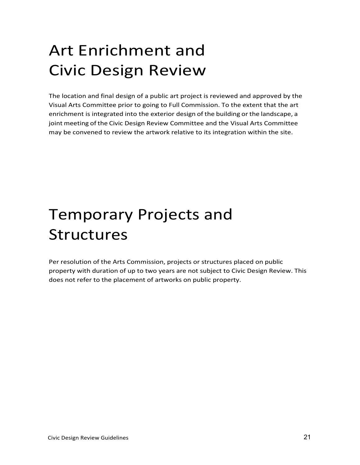# Art Enrichment and Civic Design Review

The location and final design of a public art project is reviewed and approved by the Visual Arts Committee prior to going to Full Commission. To the extent that the art enrichment is integrated into the exterior design of the building or the landscape, a joint meeting of the Civic Design Review Committee and the Visual Arts Committee may be convened to review the artwork relative to its integration within the site.

# Temporary Projects and Structures

Per resolution of the Arts Commission, projects or structures placed on public property with duration of up to two years are not subject to Civic Design Review. This does not refer to the placement of artworks on public property.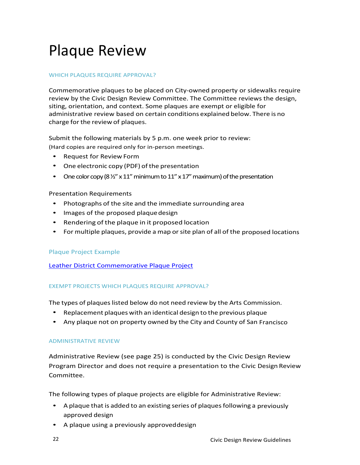### Plaque Review

#### WHICH PLAQUES REQUIRE APPROVAL?

Commemorative plaques to be placed on City-owned property or sidewalks require review by the Civic Design Review Committee. The Committee reviews the design, siting, orientation, and context. Some plaques are exempt or eligible for administrative review based on certain conditions explained below. There is no charge for the review of plaques.

Submit the following materials by 5 p.m. one week prior to review: (Hard copies are required only for in-person meetings.

- Request for Review Form
- One electronic copy (PDF) of the presentation
- One color copy (8  $\frac{1}{2}$ " x 11" minimum to 11" x 17" maximum) of the presentation

#### Presentation Requirements

- Photographs of the site and the immediate surrounding area
- Images of the proposed plaque design
- Rendering of the plaque in it proposed location
- For multiple plaques, provide a map or site plan of all of the proposed locations

#### Plaque Project Example

[Leather District Commemorative Plaque Project](https://sfgov.org/arts/sites/default/files/Leather%20District%20Commemorative%20Plaque%20Project_Presentation_041921.pdf)

#### EXEMPT PROJECTS WHICH PLAQUES REQUIRE APPROVAL?

The types of plaques listed below do not need review by the Arts Commission.

- Replacement plaques with an identical design to the previous plaque
- Any plaque not on property owned by the City and County of San Francisco

#### ADMINISTRATIVE REVIEW

Administrative Review (see page 25) is conducted by the Civic Design Review Program Director and does not require a presentation to the Civic Design Review Committee.

The following types of plaque projects are eligible for Administrative Review:

- A plaque that is added to an existing series of plaques following a previously approved design
- A plaque using a previously approveddesign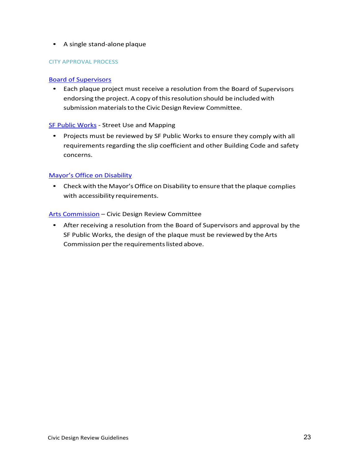#### • A single stand-alone plaque

#### CITY APPROVAL PROCESS

#### [Board of Supervisors](http://www.sfbos.org/)

• Each plaque project must receive a resolution from the Board of Supervisors endorsing the project. A copy of this resolution should be included with submission materials to the Civic Design Review Committee.

#### [SF Public Works](http://www.sfpublicworks.org/) - Street Use and Mapping

• Projects must be reviewed by SF Public Works to ensure they comply with all requirements regarding the slip coefficient and other Building Code and safety concerns.

#### [Mayor's Office on Disability](http://sfgov.org/mod/)

• Check with the Mayor's Office on Disability to ensure that the plaque complies with accessibility requirements.

#### [Arts Commission](https://www.sfartscommission.org/) – Civic Design Review Committee

• After receiving a resolution from the Board of Supervisors and approval by the SF Public Works, the design of the plaque must be reviewed by the Arts Commission per the requirements listed above.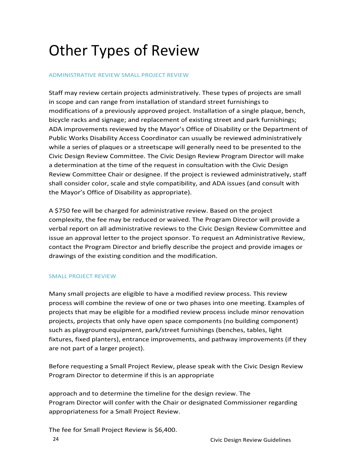# Other Types of Review

#### ADMINISTRATIVE REVIEW SMALL PROJECT REVIEW

Staff may review certain projects administratively. These types of projects are small in scope and can range from installation of standard street furnishings to modifications of a previously approved project. Installation of a single plaque, bench, bicycle racks and signage; and replacement of existing street and park furnishings; ADA improvements reviewed by the Mayor's Office of Disability or the Department of Public Works Disability Access Coordinator can usually be reviewed administratively while a series of plaques or a streetscape will generally need to be presented to the Civic Design Review Committee. The Civic Design Review Program Director will make a determination at the time of the request in consultation with the Civic Design Review Committee Chair or designee. If the project is reviewed administratively, staff shall consider color, scale and style compatibility, and ADA issues (and consult with the Mayor's Office of Disability as appropriate).

A \$750 fee will be charged for administrative review. Based on the project complexity, the fee may be reduced or waived. The Program Director will provide a verbal report on all administrative reviews to the Civic Design Review Committee and issue an approval letter to the project sponsor. To request an Administrative Review, contact the Program Director and briefly describe the project and provide images or drawings of the existing condition and the modification.

#### SMALL PROJECT REVIEW

Many small projects are eligible to have a modified review process. This review process will combine the review of one or two phases into one meeting. Examples of projects that may be eligible for a modified review process include minor renovation projects, projects that only have open space components (no building component) such as playground equipment, park/street furnishings (benches, tables, light fixtures, fixed planters), entrance improvements, and pathway improvements (if they are not part of a larger project).

Before requesting a Small Project Review, please speak with the Civic Design Review Program Director to determine if this is an appropriate

approach and to determine the timeline for the design review. The Program Director will confer with the Chair or designated Commissioner regarding appropriateness for a Small Project Review.

The fee for Small Project Review is \$6,400.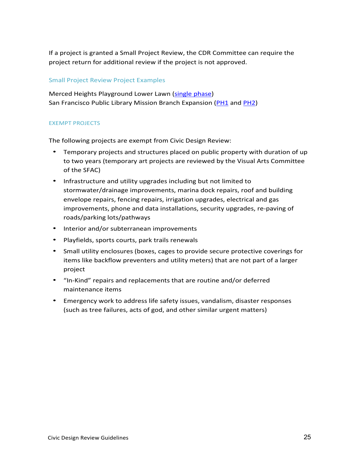If a project is granted a Small Project Review, the CDR Committee can require the project return for additional review if the project is not approved.

#### Small Project Review Project Examples

Merced Heights Playground Lower Lawn [\(single phase\)](https://sfgov.org/arts/sites/default/files/Merced%20Heights%20Playground%20Lower%20Lawn%20Renovation_Presentation_041921.pdf) San Francisco Public Library Mission Branch Expansion [\(PH1](https://sfgov.org/arts/sites/default/files/SFPL%20Mission%20Branch%20Expansion_Prensentation%20Concept_061719.pdf) and [PH2\)](https://sfgov.org/arts/sites/default/files/MISSIONLIBRARY_PRESENTATION_081720.pdf)

#### EXEMPT PROJECTS

The following projects are exempt from Civic Design Review:

- Temporary projects and structures placed on public property with duration of up to two years (temporary art projects are reviewed by the Visual Arts Committee of the SFAC)
- Infrastructure and utility upgrades including but not limited to stormwater/drainage improvements, marina dock repairs, roof and building envelope repairs, fencing repairs, irrigation upgrades, electrical and gas improvements, phone and data installations, security upgrades, re-paving of roads/parking lots/pathways
- Interior and/or subterranean improvements
- Playfields, sports courts, park trails renewals
- Small utility enclosures (boxes, cages to provide secure protective coverings for items like backflow preventers and utility meters) that are not part of a larger project
- "In-Kind" repairs and replacements that are routine and/or deferred maintenance items
- Emergency work to address life safety issues, vandalism, disaster responses (such as tree failures, acts of god, and other similar urgent matters)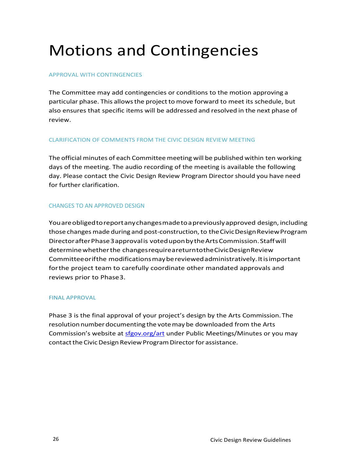# Motions and Contingencies

#### APPROVAL WITH CONTINGENCIES

The Committee may add contingencies or conditions to the motion approving a particular phase. This allowsthe project to move forward to meet its schedule, but also ensures that specific items will be addressed and resolved in the next phase of review.

#### CLARIFICATION OF COMMENTS FROM THE CIVIC DESIGN REVIEW MEETING

The official minutes of each Committee meeting will be published within ten working days of the meeting. The audio recording of the meeting is available the following day. Please contact the Civic Design Review Program Directorshould you have need for further clarification.

#### CHANGES TO AN APPROVED DESIGN

Youareobligedtoreportanychangesmadeto a previouslyapproved design, including those changes made during and post-construction, to the Civic Design Review Program DirectorafterPhase 3 approvalis voteduponbytheArtsCommission.Staffwill determine whether the changes require a return to the Civic Design Review Committeeorifthe modificationsmaybereviewedadministratively.Itisimportant forthe project team to carefully coordinate other mandated approvals and reviews prior to Phase3.

#### FINAL APPROVAL

Phase 3 is the final approval of your project's design by the Arts Commission.The resolution number documenting the vote may be downloaded from the Arts Commission's website at [sfgov.org/art](https://sfgov.org/arts) under Public Meetings/Minutes or you may contact the Civic Design Review Program Director for assistance.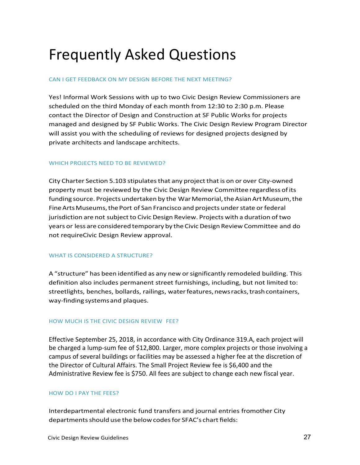### Frequently Asked Questions

#### CAN I GET FEEDBACK ON MY DESIGN BEFORE THE NEXT MEETING?

Yes! Informal Work Sessions with up to two Civic Design Review Commissioners are scheduled on the third Monday of each month from 12:30 to 2:30 p.m. Please contact the Director of Design and Construction at SF Public Works for projects managed and designed by SF Public Works. The Civic Design Review Program Director will assist you with the scheduling of reviews for designed projects designed by private architects and landscape architects.

#### WHICH PROJECTS NEED TO BE REVIEWED?

City Charter Section 5.103 stipulatesthat any project that is on or over City-owned property must be reviewed by the Civic Design Review Committee regardless ofits funding source. Projects undertaken by the War Memorial, the Asian Art Museum, the Fine Arts Museums, the Port of San Francisco and projects under state or federal jurisdiction are not subject to Civic Design Review. Projects with a duration of two years or less are considered temporary by the Civic Design Review Committee and do not requireCivic Design Review approval.

#### WHAT IS CONSIDERED A STRUCTURE?

A "structure" has been identified as any new orsignificantly remodeled building. This definition also includes permanent street furnishings, including, but not limited to: streetlights, benches, bollards, railings, water features, news racks, trash containers, way-findingsystemsand plaques.

#### HOW MUCH IS THE CIVIC DESIGN REVIEW FEE?

Effective September 25, 2018, in accordance with City Ordinance 319.A, each project will be charged a lump-sum fee of \$12,800. Larger, more complex projects or those involving a campus of several buildings or facilities may be assessed a higher fee at the discretion of the Director of Cultural Affairs. The Small Project Review fee is \$6,400 and the Administrative Review fee is \$750. All fees are subject to change each new fiscal year.

#### HOW DO I PAY THE FEES?

Interdepartmental electronic fund transfers and journal entries fromother City departments should use the below codes for SFAC's chart fields: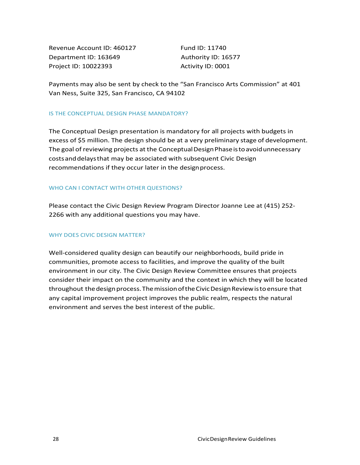Revenue Account ID: 460127 Fund ID: 11740 Department ID: 163649 Authority ID: 16577 Project ID: 10022393 Activity ID: 0001

Payments may also be sent by check to the "San Francisco Arts Commission" at 401 Van Ness, Suite 325, San Francisco, CA 94102

#### IS THE CONCEPTUAL DESIGN PHASE MANDATORY?

The Conceptual Design presentation is mandatory for all projects with budgets in excess of \$5 million. The design should be at a very preliminary stage of development. The goal of reviewing projects at the Conceptual Design Phase is to avoid unnecessary costsanddelaysthat may be associated with subsequent Civic Design recommendations if they occur later in the design process.

#### WHO CAN I CONTACT WITH OTHER QUESTIONS?

Please contact the Civic Design Review Program Director Joanne Lee at (415) 252- 2266 with any additional questions you may have.

#### WHY DOES CIVIC DESIGN MATTER?

Well-considered quality design can beautify our neighborhoods, build pride in communities, promote access to facilities, and improve the quality of the built environment in our city. The Civic Design Review Committee ensures that projects consider their impact on the community and the context in which they will be located throughout the design process. The mission of the Civic Design Review is to ensure that any capital improvement project improves the public realm, respects the natural environment and serves the best interest of the public.